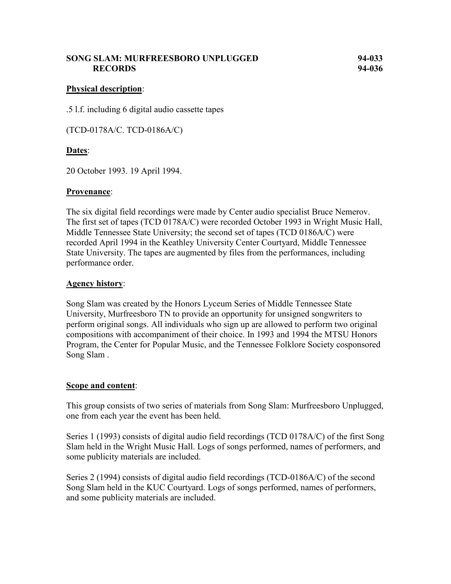## **SONG SLAM: MURFREESBORO UNPLUGGED 94-033 RECORDS 94-036**

## **Physical description**:

.5 l.f. including 6 digital audio cassette tapes

(TCD-0178A/C. TCD-0186A/C)

## **Dates**:

20 October 1993. 19 April 1994.

#### **Provenance**:

The six digital field recordings were made by Center audio specialist Bruce Nemerov. The first set of tapes (TCD 0178A/C) were recorded October 1993 in Wright Music Hall, Middle Tennessee State University; the second set of tapes (TCD 0186A/C) were recorded April 1994 in the Keathley University Center Courtyard, Middle Tennessee State University. The tapes are augmented by files from the performances, including performance order.

#### **Agency history**:

Song Slam was created by the Honors Lyceum Series of Middle Tennessee State University, Murfreesboro TN to provide an opportunity for unsigned songwriters to perform original songs. All individuals who sign up are allowed to perform two original compositions with accompaniment of their choice. In 1993 and 1994 the MTSU Honors Program, the Center for Popular Music, and the Tennessee Folklore Society cosponsored Song Slam .

#### **Scope and content**:

This group consists of two series of materials from Song Slam: Murfreesboro Unplugged, one from each year the event has been held.

Series 1 (1993) consists of digital audio field recordings (TCD 0178A/C) of the first Song Slam held in the Wright Music Hall. Logs of songs performed, names of performers, and some publicity materials are included.

Series 2 (1994) consists of digital audio field recordings (TCD-0186A/C) of the second Song Slam held in the KUC Courtyard. Logs of songs performed, names of performers, and some publicity materials are included.